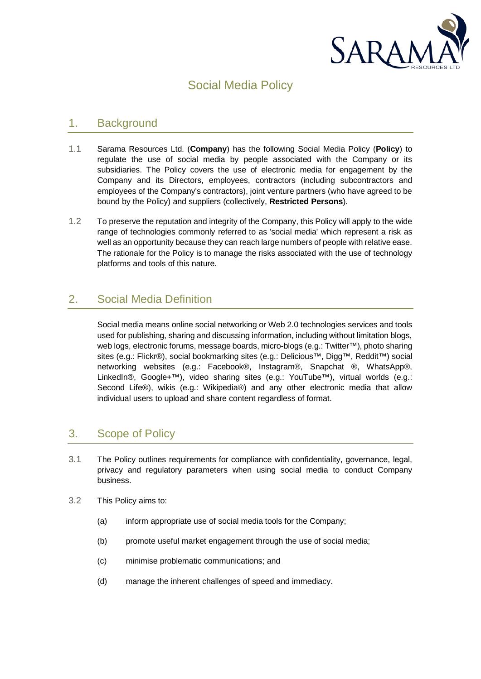

# Social Media Policy

#### 1. Background

- 1.1 Sarama Resources Ltd. (**Company**) has the following Social Media Policy (**Policy**) to regulate the use of social media by people associated with the Company or its subsidiaries. The Policy covers the use of electronic media for engagement by the Company and its Directors, employees, contractors (including subcontractors and employees of the Company's contractors), joint venture partners (who have agreed to be bound by the Policy) and suppliers (collectively, **Restricted Persons**).
- 1.2 To preserve the reputation and integrity of the Company, this Policy will apply to the wide range of technologies commonly referred to as 'social media' which represent a risk as well as an opportunity because they can reach large numbers of people with relative ease. The rationale for the Policy is to manage the risks associated with the use of technology platforms and tools of this nature.

# 2. Social Media Definition

Social media means online social networking or Web 2.0 technologies services and tools used for publishing, sharing and discussing information, including without limitation blogs, web logs, electronic forums, message boards, micro-blogs (e.g.: Twitter™), photo sharing sites (e.g.: Flickr®), social bookmarking sites (e.g.: Delicious™, Digg™, Reddit™) social networking websites (e.g.: Facebook®, Instagram®, Snapchat ®, WhatsApp®, LinkedIn®, Google+™), video sharing sites (e.g.: YouTube™), virtual worlds (e.g.: Second Life®), wikis (e.g.: Wikipedia®) and any other electronic media that allow individual users to upload and share content regardless of format.

### 3. Scope of Policy

- 3.1 The Policy outlines requirements for compliance with confidentiality, governance, legal, privacy and regulatory parameters when using social media to conduct Company business.
- 3.2 This Policy aims to:
	- (a) inform appropriate use of social media tools for the Company;
	- (b) promote useful market engagement through the use of social media;
	- (c) minimise problematic communications; and
	- (d) manage the inherent challenges of speed and immediacy.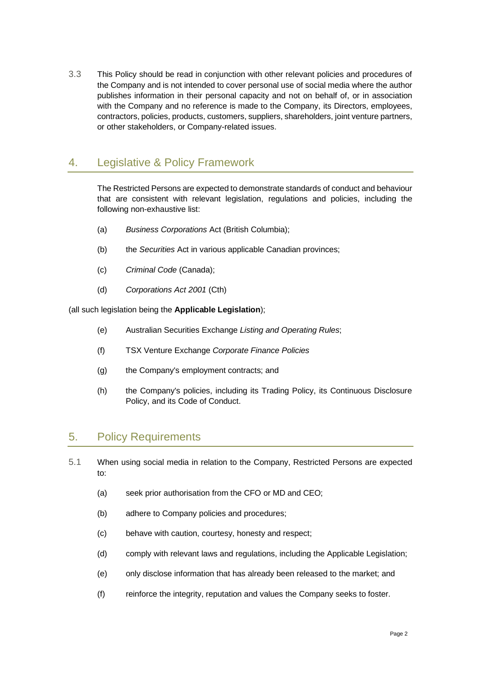3.3 This Policy should be read in conjunction with other relevant policies and procedures of the Company and is not intended to cover personal use of social media where the author publishes information in their personal capacity and not on behalf of, or in association with the Company and no reference is made to the Company, its Directors, employees, contractors, policies, products, customers, suppliers, shareholders, joint venture partners, or other stakeholders, or Company-related issues.

# 4. Legislative & Policy Framework

The Restricted Persons are expected to demonstrate standards of conduct and behaviour that are consistent with relevant legislation, regulations and policies, including the following non-exhaustive list:

- (a) *Business Corporations* Act (British Columbia);
- (b) the *Securities* Act in various applicable Canadian provinces;
- (c) *Criminal Code* (Canada);
- (d) *Corporations Act 2001* (Cth)

(all such legislation being the **Applicable Legislation**);

- (e) Australian Securities Exchange *Listing and Operating Rules*;
- (f) TSX Venture Exchange *Corporate Finance Policies*
- (g) the Company's employment contracts; and
- (h) the Company's policies, including its Trading Policy, its Continuous Disclosure Policy, and its Code of Conduct.

#### 5. Policy Requirements

- 5.1 When using social media in relation to the Company, Restricted Persons are expected to:
	- (a) seek prior authorisation from the CFO or MD and CEO;
	- (b) adhere to Company policies and procedures;
	- (c) behave with caution, courtesy, honesty and respect;
	- (d) comply with relevant laws and regulations, including the Applicable Legislation;
	- (e) only disclose information that has already been released to the market; and
	- (f) reinforce the integrity, reputation and values the Company seeks to foster.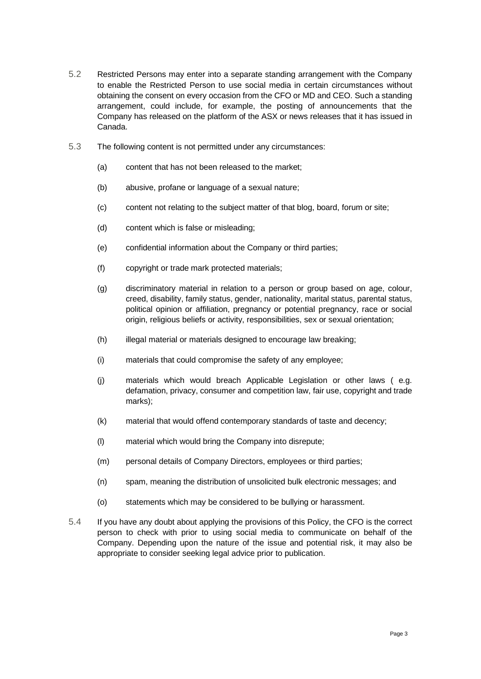- 5.2 Restricted Persons may enter into a separate standing arrangement with the Company to enable the Restricted Person to use social media in certain circumstances without obtaining the consent on every occasion from the CFO or MD and CEO. Such a standing arrangement, could include, for example, the posting of announcements that the Company has released on the platform of the ASX or news releases that it has issued in Canada.
- 5.3 The following content is not permitted under any circumstances:
	- (a) content that has not been released to the market;
	- (b) abusive, profane or language of a sexual nature;
	- (c) content not relating to the subject matter of that blog, board, forum or site;
	- (d) content which is false or misleading;
	- (e) confidential information about the Company or third parties;
	- (f) copyright or trade mark protected materials;
	- (g) discriminatory material in relation to a person or group based on age, colour, creed, disability, family status, gender, nationality, marital status, parental status, political opinion or affiliation, pregnancy or potential pregnancy, race or social origin, religious beliefs or activity, responsibilities, sex or sexual orientation;
	- (h) illegal material or materials designed to encourage law breaking;
	- (i) materials that could compromise the safety of any employee;
	- (j) materials which would breach Applicable Legislation or other laws ( e.g. defamation, privacy, consumer and competition law, fair use, copyright and trade marks);
	- (k) material that would offend contemporary standards of taste and decency;
	- (l) material which would bring the Company into disrepute;
	- (m) personal details of Company Directors, employees or third parties;
	- (n) spam, meaning the distribution of unsolicited bulk electronic messages; and
	- (o) statements which may be considered to be bullying or harassment.
- 5.4 If you have any doubt about applying the provisions of this Policy, the CFO is the correct person to check with prior to using social media to communicate on behalf of the Company. Depending upon the nature of the issue and potential risk, it may also be appropriate to consider seeking legal advice prior to publication.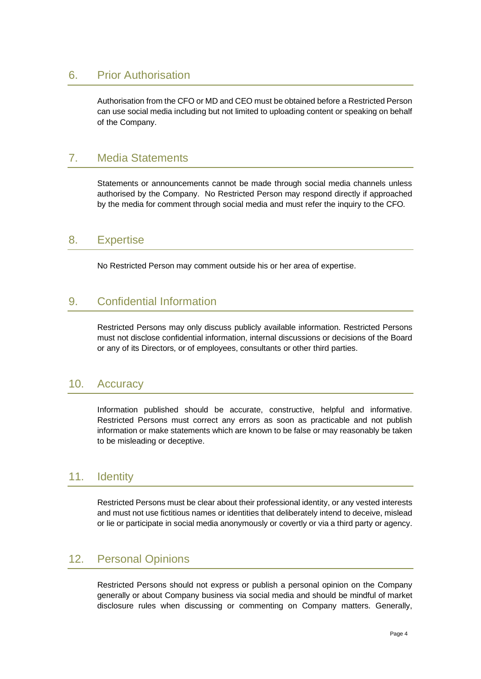#### 6. Prior Authorisation

Authorisation from the CFO or MD and CEO must be obtained before a Restricted Person can use social media including but not limited to uploading content or speaking on behalf of the Company.

### 7. Media Statements

Statements or announcements cannot be made through social media channels unless authorised by the Company. No Restricted Person may respond directly if approached by the media for comment through social media and must refer the inquiry to the CFO.

#### 8. Expertise

No Restricted Person may comment outside his or her area of expertise.

### 9. Confidential Information

Restricted Persons may only discuss publicly available information. Restricted Persons must not disclose confidential information, internal discussions or decisions of the Board or any of its Directors, or of employees, consultants or other third parties.

#### 10. Accuracy

Information published should be accurate, constructive, helpful and informative. Restricted Persons must correct any errors as soon as practicable and not publish information or make statements which are known to be false or may reasonably be taken to be misleading or deceptive.

#### 11. Identity

Restricted Persons must be clear about their professional identity, or any vested interests and must not use fictitious names or identities that deliberately intend to deceive, mislead or lie or participate in social media anonymously or covertly or via a third party or agency.

#### 12. Personal Opinions

Restricted Persons should not express or publish a personal opinion on the Company generally or about Company business via social media and should be mindful of market disclosure rules when discussing or commenting on Company matters. Generally,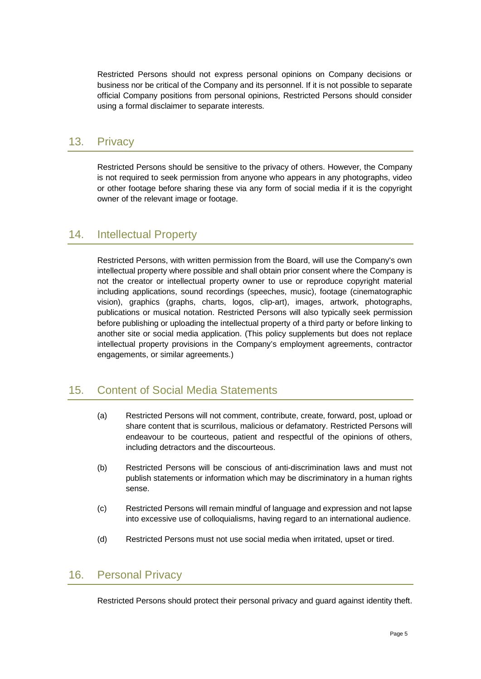Restricted Persons should not express personal opinions on Company decisions or business nor be critical of the Company and its personnel. If it is not possible to separate official Company positions from personal opinions, Restricted Persons should consider using a formal disclaimer to separate interests.

### 13. Privacy

Restricted Persons should be sensitive to the privacy of others. However, the Company is not required to seek permission from anyone who appears in any photographs, video or other footage before sharing these via any form of social media if it is the copyright owner of the relevant image or footage.

### 14. Intellectual Property

Restricted Persons, with written permission from the Board, will use the Company's own intellectual property where possible and shall obtain prior consent where the Company is not the creator or intellectual property owner to use or reproduce copyright material including applications, sound recordings (speeches, music), footage (cinematographic vision), graphics (graphs, charts, logos, clip-art), images, artwork, photographs, publications or musical notation. Restricted Persons will also typically seek permission before publishing or uploading the intellectual property of a third party or before linking to another site or social media application. (This policy supplements but does not replace intellectual property provisions in the Company's employment agreements, contractor engagements, or similar agreements.)

### 15. Content of Social Media Statements

- (a) Restricted Persons will not comment, contribute, create, forward, post, upload or share content that is scurrilous, malicious or defamatory. Restricted Persons will endeavour to be courteous, patient and respectful of the opinions of others, including detractors and the discourteous.
- (b) Restricted Persons will be conscious of anti-discrimination laws and must not publish statements or information which may be discriminatory in a human rights sense.
- (c) Restricted Persons will remain mindful of language and expression and not lapse into excessive use of colloquialisms, having regard to an international audience.
- (d) Restricted Persons must not use social media when irritated, upset or tired.

#### 16. Personal Privacy

Restricted Persons should protect their personal privacy and guard against identity theft.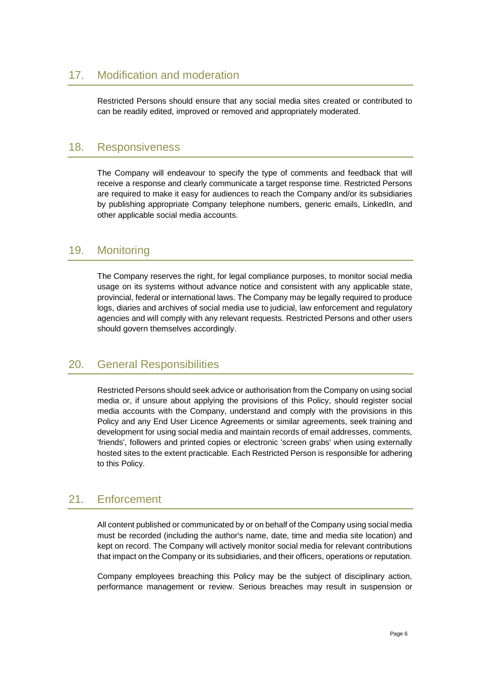# 17. Modification and moderation

Restricted Persons should ensure that any social media sites created or contributed to can be readily edited, improved or removed and appropriately moderated.

#### 18. Responsiveness

The Company will endeavour to specify the type of comments and feedback that will receive a response and clearly communicate a target response time. Restricted Persons are required to make it easy for audiences to reach the Company and/or its subsidiaries by publishing appropriate Company telephone numbers, generic emails, LinkedIn, and other applicable social media accounts.

### 19. Monitoring

The Company reserves the right, for legal compliance purposes, to monitor social media usage on its systems without advance notice and consistent with any applicable state, provincial, federal or international laws. The Company may be legally required to produce logs, diaries and archives of social media use to judicial, law enforcement and regulatory agencies and will comply with any relevant requests. Restricted Persons and other users should govern themselves accordingly.

### 20. General Responsibilities

Restricted Persons should seek advice or authorisation from the Company on using social media or, if unsure about applying the provisions of this Policy, should register social media accounts with the Company, understand and comply with the provisions in this Policy and any End User Licence Agreements or similar agreements, seek training and development for using social media and maintain records of email addresses, comments, 'friends', followers and printed copies or electronic 'screen grabs' when using externally hosted sites to the extent practicable. Each Restricted Person is responsible for adhering to this Policy.

### 21. Enforcement

All content published or communicated by or on behalf of the Company using social media must be recorded (including the author's name, date, time and media site location) and kept on record. The Company will actively monitor social media for relevant contributions that impact on the Company or its subsidiaries, and their officers, operations or reputation.

Company employees breaching this Policy may be the subject of disciplinary action, performance management or review. Serious breaches may result in suspension or